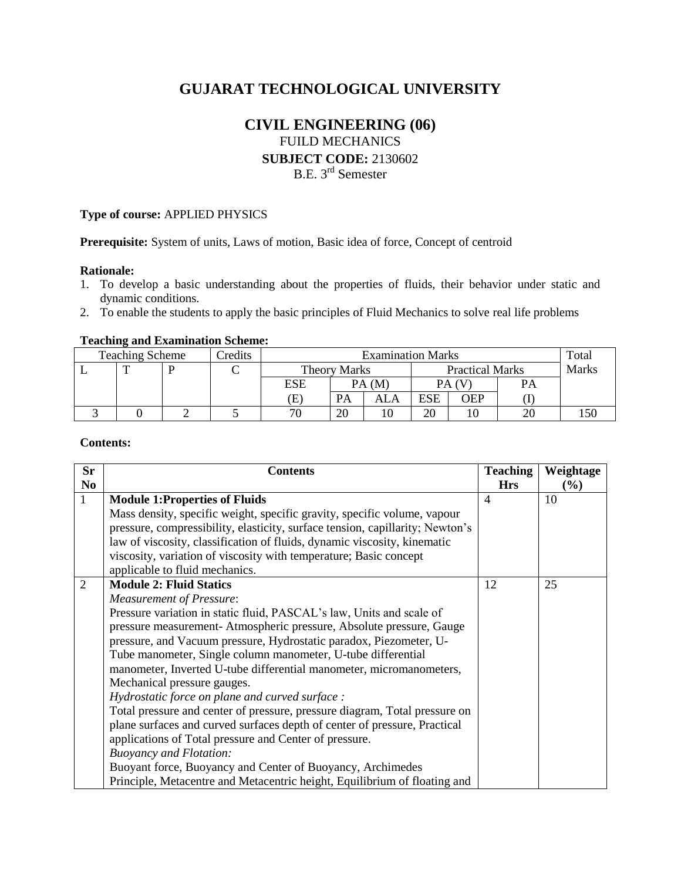# **GUJARAT TECHNOLOGICAL UNIVERSITY**

# **CIVIL ENGINEERING (06)** FUILD MECHANICS

**SUBJECT CODE:** 2130602

B.E. 3rd Semester

#### **Type of course:** APPLIED PHYSICS

**Prerequisite:** System of units, Laws of motion, Basic idea of force, Concept of centroid

### **Rationale:**

- 1. To develop a basic understanding about the properties of fluids, their behavior under static and dynamic conditions.
- 2. To enable the students to apply the basic principles of Fluid Mechanics to solve real life problems

#### **Teaching and Examination Scheme:**

| <b>Teaching Scheme</b> | Credits | <b>Examination Marks</b>   |              |       |     |                        | Total |       |
|------------------------|---------|----------------------------|--------------|-------|-----|------------------------|-------|-------|
| —                      | ◡       |                            | Theory Marks |       |     | <b>Practical Marks</b> |       | Marks |
|                        |         | ESE                        |              | PA(M) |     | PA (V                  | PA    |       |
|                        |         | $\left( \mathrm{E}\right)$ | <b>PA</b>    | ALA   | ESE | <b>OEP</b>             |       |       |
|                        |         | 7C                         | 20           |       | 20  |                        |       |       |

### **Contents:**

| <b>Sr</b>      | <b>Contents</b>                                                               | <b>Teaching</b> | Weightage |
|----------------|-------------------------------------------------------------------------------|-----------------|-----------|
| N <sub>o</sub> |                                                                               | <b>Hrs</b>      | $(\%)$    |
| $\mathbf{1}$   | <b>Module 1:Properties of Fluids</b>                                          | $\overline{4}$  | 10        |
|                | Mass density, specific weight, specific gravity, specific volume, vapour      |                 |           |
|                | pressure, compressibility, elasticity, surface tension, capillarity; Newton's |                 |           |
|                | law of viscosity, classification of fluids, dynamic viscosity, kinematic      |                 |           |
|                | viscosity, variation of viscosity with temperature; Basic concept             |                 |           |
|                | applicable to fluid mechanics.                                                |                 |           |
| $\overline{2}$ | <b>Module 2: Fluid Statics</b>                                                | 12              | 25        |
|                | <b>Measurement of Pressure:</b>                                               |                 |           |
|                | Pressure variation in static fluid, PASCAL's law, Units and scale of          |                 |           |
|                | pressure measurement-Atmospheric pressure, Absolute pressure, Gauge           |                 |           |
|                | pressure, and Vacuum pressure, Hydrostatic paradox, Piezometer, U-            |                 |           |
|                | Tube manometer, Single column manometer, U-tube differential                  |                 |           |
|                | manometer, Inverted U-tube differential manometer, micromanometers,           |                 |           |
|                | Mechanical pressure gauges.                                                   |                 |           |
|                | Hydrostatic force on plane and curved surface :                               |                 |           |
|                | Total pressure and center of pressure, pressure diagram, Total pressure on    |                 |           |
|                | plane surfaces and curved surfaces depth of center of pressure, Practical     |                 |           |
|                | applications of Total pressure and Center of pressure.                        |                 |           |
|                | <b>Buoyancy and Flotation:</b>                                                |                 |           |
|                | Buoyant force, Buoyancy and Center of Buoyancy, Archimedes                    |                 |           |
|                | Principle, Metacentre and Metacentric height, Equilibrium of floating and     |                 |           |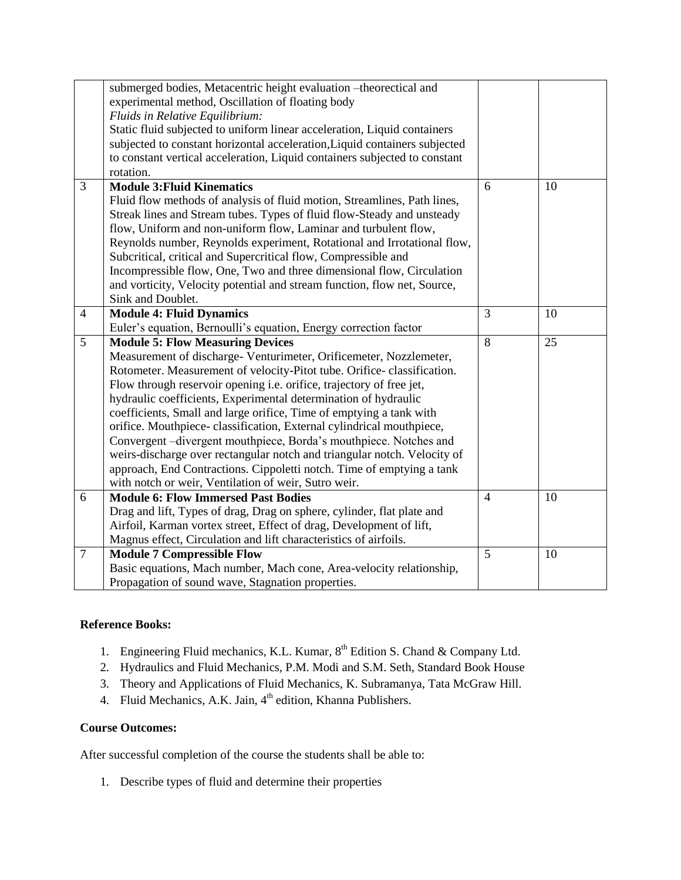|                | submerged bodies, Metacentric height evaluation -theorectical and          |                |    |
|----------------|----------------------------------------------------------------------------|----------------|----|
|                | experimental method, Oscillation of floating body                          |                |    |
|                | Fluids in Relative Equilibrium:                                            |                |    |
|                | Static fluid subjected to uniform linear acceleration, Liquid containers   |                |    |
|                | subjected to constant horizontal acceleration, Liquid containers subjected |                |    |
|                | to constant vertical acceleration, Liquid containers subjected to constant |                |    |
|                | rotation.                                                                  |                |    |
| $\overline{3}$ | <b>Module 3: Fluid Kinematics</b>                                          | 6              | 10 |
|                | Fluid flow methods of analysis of fluid motion, Streamlines, Path lines,   |                |    |
|                | Streak lines and Stream tubes. Types of fluid flow-Steady and unsteady     |                |    |
|                | flow, Uniform and non-uniform flow, Laminar and turbulent flow,            |                |    |
|                | Reynolds number, Reynolds experiment, Rotational and Irrotational flow,    |                |    |
|                | Subcritical, critical and Supercritical flow, Compressible and             |                |    |
|                | Incompressible flow, One, Two and three dimensional flow, Circulation      |                |    |
|                | and vorticity, Velocity potential and stream function, flow net, Source,   |                |    |
|                | Sink and Doublet.                                                          |                |    |
| $\overline{4}$ | <b>Module 4: Fluid Dynamics</b>                                            | 3              | 10 |
|                | Euler's equation, Bernoulli's equation, Energy correction factor           |                |    |
|                |                                                                            |                |    |
| 5              | <b>Module 5: Flow Measuring Devices</b>                                    | 8              | 25 |
|                | Measurement of discharge- Venturimeter, Orificemeter, Nozzlemeter,         |                |    |
|                | Rotometer. Measurement of velocity-Pitot tube. Orifice-classification.     |                |    |
|                | Flow through reservoir opening i.e. orifice, trajectory of free jet,       |                |    |
|                | hydraulic coefficients, Experimental determination of hydraulic            |                |    |
|                | coefficients, Small and large orifice, Time of emptying a tank with        |                |    |
|                | orifice. Mouthpiece-classification, External cylindrical mouthpiece,       |                |    |
|                | Convergent -divergent mouthpiece, Borda's mouthpiece. Notches and          |                |    |
|                | weirs-discharge over rectangular notch and triangular notch. Velocity of   |                |    |
|                | approach, End Contractions. Cippoletti notch. Time of emptying a tank      |                |    |
|                | with notch or weir, Ventilation of weir, Sutro weir.                       |                |    |
| 6              | <b>Module 6: Flow Immersed Past Bodies</b>                                 | $\overline{4}$ | 10 |
|                | Drag and lift, Types of drag, Drag on sphere, cylinder, flat plate and     |                |    |
|                | Airfoil, Karman vortex street, Effect of drag, Development of lift,        |                |    |
|                | Magnus effect, Circulation and lift characteristics of airfoils.           |                |    |
| $\overline{7}$ | <b>Module 7 Compressible Flow</b>                                          | 5              | 10 |
|                | Basic equations, Mach number, Mach cone, Area-velocity relationship,       |                |    |

## **Reference Books:**

- 1. Engineering Fluid mechanics, K.L. Kumar, 8<sup>th</sup> Edition S. Chand & Company Ltd.
- 2. Hydraulics and Fluid Mechanics, P.M. Modi and S.M. Seth, Standard Book House
- 3. Theory and Applications of Fluid Mechanics, K. Subramanya, Tata McGraw Hill.
- 4. Fluid Mechanics, A.K. Jain, 4<sup>th</sup> edition, Khanna Publishers.

# **Course Outcomes:**

After successful completion of the course the students shall be able to:

1. Describe types of fluid and determine their properties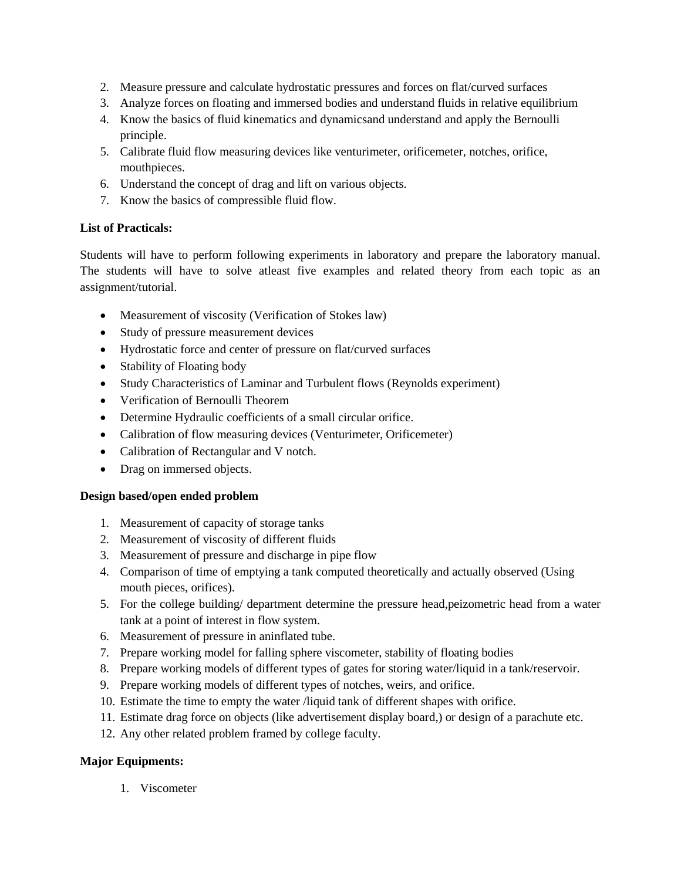- 2. Measure pressure and calculate hydrostatic pressures and forces on flat/curved surfaces
- 3. Analyze forces on floating and immersed bodies and understand fluids in relative equilibrium
- 4. Know the basics of fluid kinematics and dynamicsand understand and apply the Bernoulli principle.
- 5. Calibrate fluid flow measuring devices like venturimeter, orificemeter, notches, orifice, mouthpieces.
- 6. Understand the concept of drag and lift on various objects.
- 7. Know the basics of compressible fluid flow.

## **List of Practicals:**

Students will have to perform following experiments in laboratory and prepare the laboratory manual. The students will have to solve atleast five examples and related theory from each topic as an assignment/tutorial.

- Measurement of viscosity (Verification of Stokes law)
- Study of pressure measurement devices
- Hydrostatic force and center of pressure on flat/curved surfaces
- Stability of Floating body
- Study Characteristics of Laminar and Turbulent flows (Reynolds experiment)
- Verification of Bernoulli Theorem
- Determine Hydraulic coefficients of a small circular orifice.
- Calibration of flow measuring devices (Venturimeter, Orificemeter)
- Calibration of Rectangular and V notch.
- Drag on immersed objects.

## **Design based/open ended problem**

- 1. Measurement of capacity of storage tanks
- 2. Measurement of viscosity of different fluids
- 3. Measurement of pressure and discharge in pipe flow
- 4. Comparison of time of emptying a tank computed theoretically and actually observed (Using mouth pieces, orifices).
- 5. For the college building/ department determine the pressure head,peizometric head from a water tank at a point of interest in flow system.
- 6. Measurement of pressure in aninflated tube.
- 7. Prepare working model for falling sphere viscometer, stability of floating bodies
- 8. Prepare working models of different types of gates for storing water/liquid in a tank/reservoir.
- 9. Prepare working models of different types of notches, weirs, and orifice.
- 10. Estimate the time to empty the water /liquid tank of different shapes with orifice.
- 11. Estimate drag force on objects (like advertisement display board,) or design of a parachute etc.
- 12. Any other related problem framed by college faculty.

# **Major Equipments:**

1. Viscometer